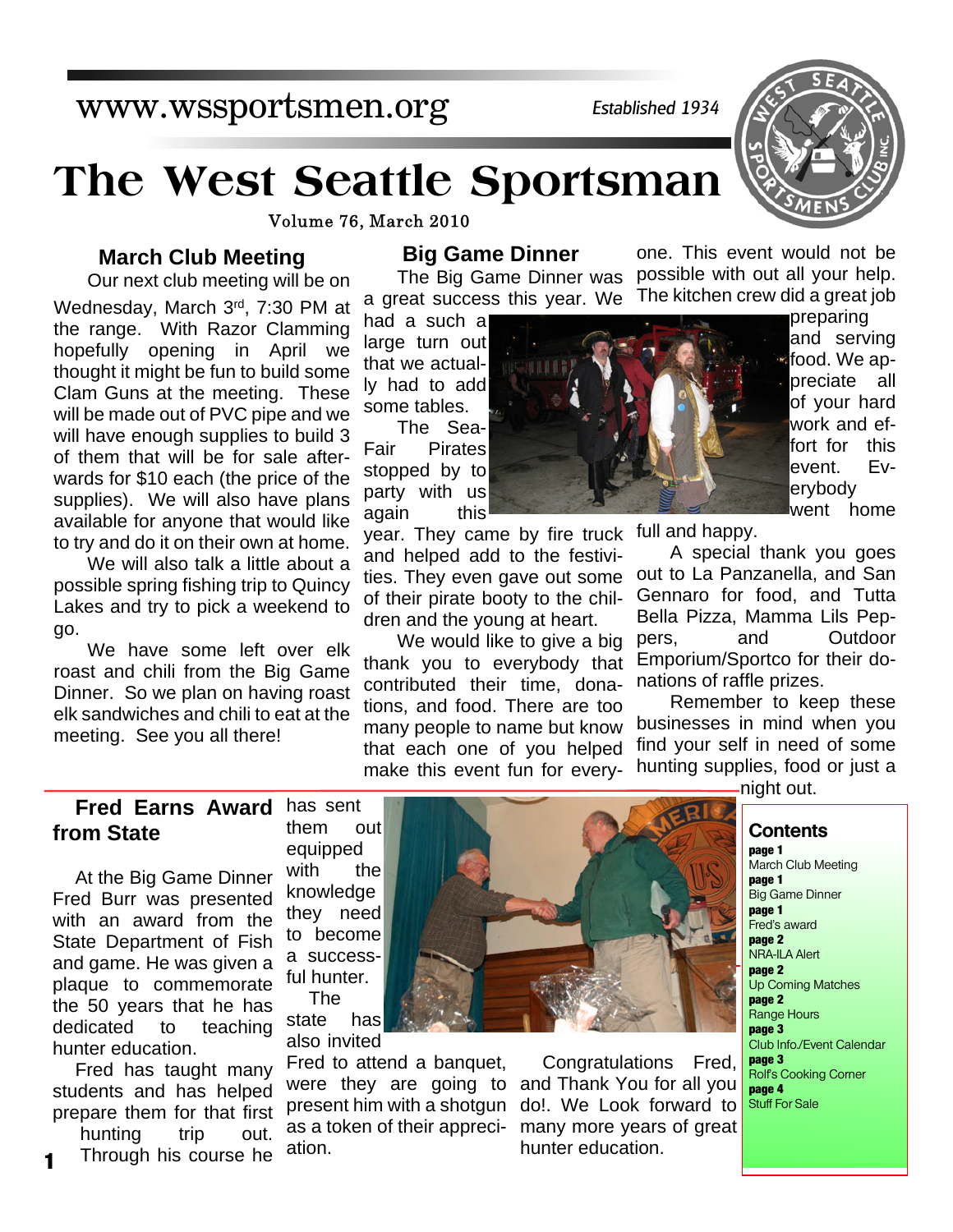hunting trip out. Through his course he

State Department of Fish and game. He was given a plaque to commemorate the 50 years that he has dedicated to teaching Fred has taught many a successful hunter. The state has also invited

equipped with the knowledge they need to become

Fred to attend a banquet, were they are going to present him with a shotgun as a token of their appreciation.

Congratulations Fred, and Thank You for all you do!. We Look forward to many more years of great hunter education.

### **Fred Earns Award** has sent **from State** them out

At the Big Game Dinner Fred Burr was presented with an award from the

meeting. See you all there!

## **Big Game Dinner**

The Big Game Dinner was a great success this year. We

had a such a large turn out that we actually had to add some tables.

The Sea-Fair Pirates stopped by to party with us again this

year. They came by fire truck and helped add to the festivities. They even gave out some of their pirate booty to the children and the young at heart.

We would like to give a big thank you to everybody that contributed their time, donations, and food. There are too many people to name but know that each one of you helped make this event fun for everyone. This event would not be possible with out all your help. The kitchen crew did a great job

> preparing and serving food. We appreciate all of your hard work and effort for this event. Everybody went home

full and happy.

A special thank you goes out to La Panzanella, and San Gennaro for food, and Tutta Bella Pizza, Mamma Lils Peppers, and Outdoor Emporium/Sportco for their donations of raffle prizes.

Remember to keep these businesses in mind when you find your self in need of some hunting supplies, food or just a

night out.

### **Contents**

**page 1** March Club Meeting **page 1** Big Game Dinner **page 1** Fred's award **page 2** NRA-ILA Alert **page 2** Up Coming Matches **page 2** Range Hours **page 3** Club Info./Event Calendar **page 3** Rolf's Cooking Corner **page 4** Stuff For Sale

# **The West Seattle Sportsman**

Volume 76, March 2010

### **March Club Meeting**

Our next club meeting will be on

Wednesday, March 3rd, 7:30 PM at the range. With Razor Clamming hopefully opening in April we thought it might be fun to build some Clam Guns at the meeting. These will be made out of PVC pipe and we will have enough supplies to build 3 of them that will be for sale afterwards for \$10 each (the price of the supplies). We will also have plans available for anyone that would like to try and do it on their own at home.

We will also talk a little about a possible spring fishing trip to Quincy Lakes and try to pick a weekend to go.

We have some left over elk roast and chili from the Big Game Dinner. So we plan on having roast elk sandwiches and chili to eat at the





# www.wssportsmen.org

**1**

hunter education.

students and has helped prepare them for that first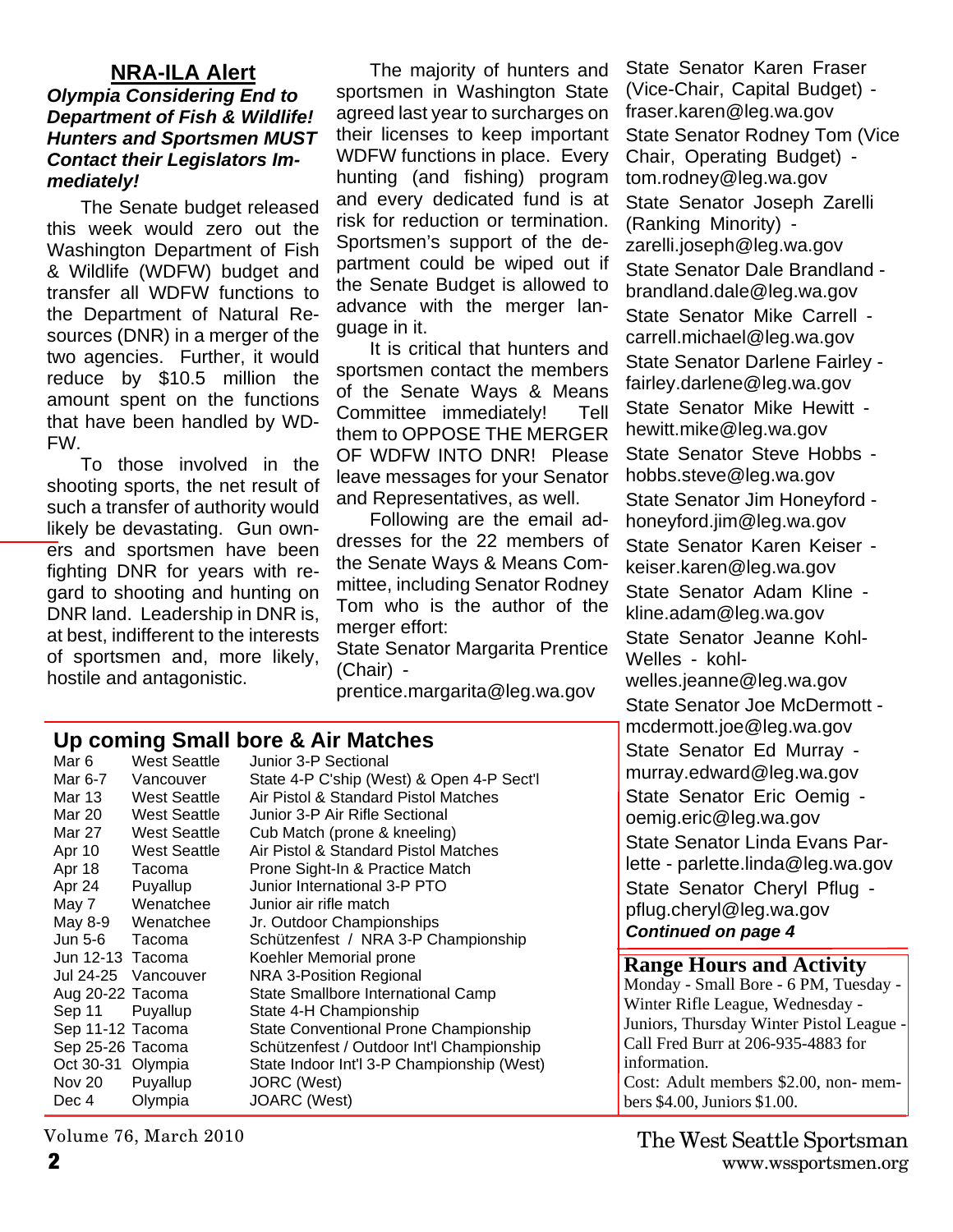### **NRA-ILA Alert**

### *Olympia Considering End to Department of Fish & Wildlife! Hunters and Sportsmen MUST Contact their Legislators Immediately!*

The Senate budget released this week would zero out the Washington Department of Fish & Wildlife (WDFW) budget and transfer all WDFW functions to the Department of Natural Resources (DNR) in a merger of the two agencies. Further, it would reduce by \$10.5 million the amount spent on the functions that have been handled by WD-FW.

To those involved in the shooting sports, the net result of such a transfer of authority would likely be devastating. Gun owners and sportsmen have been fighting DNR for years with regard to shooting and hunting on DNR land. Leadership in DNR is, at best, indifferent to the interests of sportsmen and, more likely, hostile and antagonistic.

The majority of hunters and sportsmen in Washington State agreed last year to surcharges on their licenses to keep important WDFW functions in place. Every hunting (and fishing) program and every dedicated fund is at risk for reduction or termination. Sportsmen's support of the department could be wiped out if the Senate Budget is allowed to advance with the merger language in it.

It is critical that hunters and sportsmen contact the members of the Senate Ways & Means Committee immediately! Tell them to OPPOSE THE MERGER OF WDFW INTO DNR! Please leave messages for your Senator and Representatives, as well.

Following are the email addresses for the 22 members of the Senate Ways & Means Committee, including Senator Rodney Tom who is the author of the merger effort: State Senator Margarita Prentice

(Chair) -

prentice.margarita@leg.wa.gov

# **Up coming Small bore & Air Matches**<br>Mar 6 West Seattle Unior 3-P Sectional

Mar 6 West Seattle Junior 3-P Sectional<br>Mar 6-7 Vancouver State 4-P C'ship (We Vancouver State 4-P C'ship (West) & Open 4-P Sect'l Mar 13 West Seattle Air Pistol & Standard Pistol Matches Mar 20 West Seattle Junior 3-P Air Rifle Sectional Mar 27 West Seattle Cub Match (prone & kneeling) Apr 10 West Seattle Air Pistol & Standard Pistol Matches Apr 18 Tacoma Prone Sight-In & Practice Match Apr 24 Puyallup Junior International 3-P PTO May 7 Wenatchee Junior air rifle match May 8-9 Wenatchee Jr. Outdoor Championships Jun 5-6 Tacoma Schützenfest / NRA 3-P Championship Jun 12-13 Tacoma Koehler Memorial prone Jul 24-25 Vancouver NRA 3-Position Regional Aug 20-22 Tacoma State Smallbore International Camp Sep 11 Puyallup State 4-H Championship Sep 11-12 Tacoma State Conventional Prone Championship Sep 25-26 Tacoma Schützenfest / Outdoor Int'l Championship Oct 30-31 Olympia State Indoor Int'l 3-P Championship (West) Nov 20 Puyallup JORC (West) Dec 4 Olympia JOARC (West)

(Vice-Chair, Capital Budget) fraser.karen@leg.wa.gov State Senator Rodney Tom (Vice Chair, Operating Budget) tom.rodney@leg.wa.gov State Senator Joseph Zarelli (Ranking Minority) zarelli.joseph@leg.wa.gov State Senator Dale Brandland brandland.dale@leg.wa.gov State Senator Mike Carrell carrell.michael@leg.wa.gov State Senator Darlene Fairley fairley.darlene@leg.wa.gov State Senator Mike Hewitt hewitt.mike@leg.wa.gov State Senator Steve Hobbs hobbs.steve@leg.wa.gov State Senator Jim Honeyford honeyford.jim@leg.wa.gov State Senator Karen Keiser keiser.karen@leg.wa.gov State Senator Adam Kline kline.adam@leg.wa.gov State Senator Jeanne Kohl-Welles - kohlwelles.jeanne@leg.wa.gov State Senator Joe McDermott mcdermott.joe@leg.wa.gov State Senator Ed Murray murray.edward@leg.wa.gov State Senator Eric Oemig oemig.eric@leg.wa.gov State Senator Linda Evans Parlette - parlette.linda@leg.wa.gov State Senator Cheryl Pflug pflug.cheryl@leg.wa.gov *Continued on page 4*

State Senator Karen Fraser

### **Range Hours and Activity**

Monday - Small Bore - 6 PM, Tuesday - Winter Rifle League, Wednesday - Juniors, Thursday Winter Pistol League - Call Fred Burr at 206-935-4883 for information. Cost: Adult members \$2.00, non- members \$4.00, Juniors \$1.00.

Volume 76, March 2010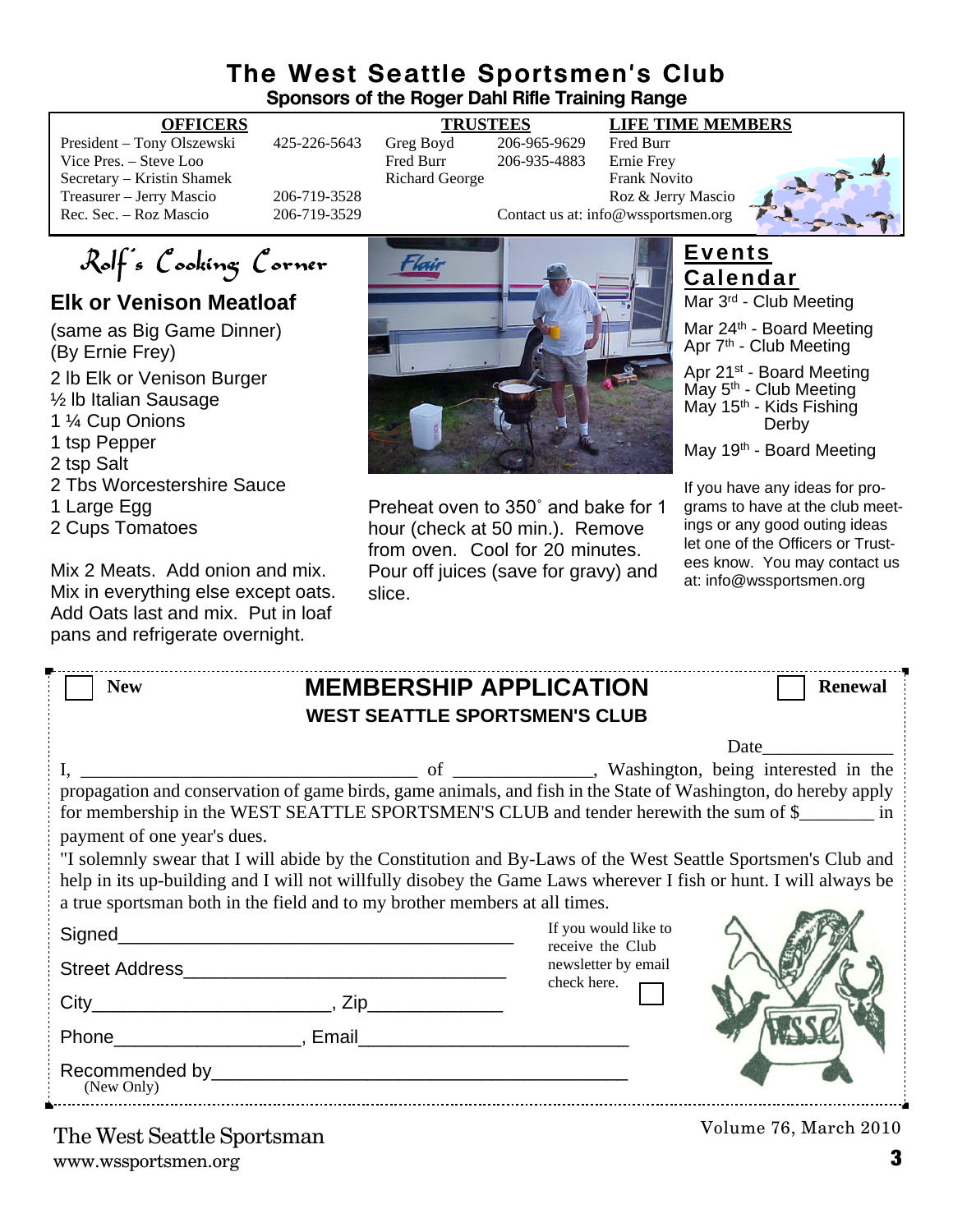## **The West Seattle Sportsmen's Club Sponsors of the Roger Dahl Rifle Training Range**

President – Tony Olszewski 425-226-5643 Greg Boyd 206-965-9629 Fred Burr Vice Pres. – Steve Loo Fred Burr 206-935-4883 Secretary – Kristin Shamek **Richard George** Frank Novito Treasurer – Jerry Mascio 206-719-3528 Roz & Jerry Mascio 206-719-3528 Roz & Jerry Mascio 206-719-3529 Roz & Jerry Mascio

**OFFICERS TRUSTEES LIFE TIME MEMBERS**

206-719-3529 Contact us at: info@wssportsmen.org



Rolf's Cooking Corner

# **Elk or Venison Meatloaf**

- (same as Big Game Dinner) (By Ernie Frey)
- 2 lb Elk or Venison Burger
- ½ lb Italian Sausage
- 1 ¼ Cup Onions
- 1 tsp Pepper
- 2 tsp Salt
- 2 Tbs Worcestershire Sauce
- 1 Large Egg
- 2 Cups Tomatoes

Mix 2 Meats. Add onion and mix. Mix in everything else except oats. Add Oats last and mix. Put in loaf pans and refrigerate overnight.



Preheat oven to 350˚ and bake for 1 hour (check at 50 min.). Remove from oven. Cool for 20 minutes. Pour off juices (save for gravy) and slice.

# **Events Calendar**

Mar 3rd - Club Meeting

Mar 24<sup>th</sup> - Board Meeting Apr 7<sup>th</sup> - Club Meeting

Apr 21<sup>st</sup> - Board Meeting May 5<sup>th</sup> - Club Meeting May 15<sup>th</sup> - Kids Fishing Derby

May 19<sup>th</sup> - Board Meeting

If you have any ideas for programs to have at the club meetings or any good outing ideas let one of the Officers or Trustees know. You may contact us at: info@wssportsmen.org

| <b>New</b>                  | <b>MEMBERSHIP APPLICATION</b><br><b>WEST SEATTLE SPORTSMEN'S CLUB</b>                                                                                                                                                                                                                                                                                                                                                                                                                                                     |                                                                 | <b>Renewal</b>                                                                                                                                                                                                                |
|-----------------------------|---------------------------------------------------------------------------------------------------------------------------------------------------------------------------------------------------------------------------------------------------------------------------------------------------------------------------------------------------------------------------------------------------------------------------------------------------------------------------------------------------------------------------|-----------------------------------------------------------------|-------------------------------------------------------------------------------------------------------------------------------------------------------------------------------------------------------------------------------|
| payment of one year's dues. | propagation and conservation of game birds, game animals, and fish in the State of Washington, do hereby apply<br>for membership in the WEST SEATTLE SPORTSMEN'S CLUB and tender herewith the sum of \$<br>"I solemnly swear that I will abide by the Constitution and By-Laws of the West Seattle Sportsmen's Club and<br>help in its up-building and I will not willfully disobey the Game Laws wherever I fish or hunt. I will always be<br>a true sportsman both in the field and to my brother members at all times. |                                                                 | Date and the same of the same of the same of the same of the same of the same of the same of the same of the same of the same of the same of the same of the same of the same of the same of the same of the same of the same |
|                             |                                                                                                                                                                                                                                                                                                                                                                                                                                                                                                                           | If you would like to<br>receive the Club<br>newsletter by email |                                                                                                                                                                                                                               |
|                             |                                                                                                                                                                                                                                                                                                                                                                                                                                                                                                                           | check here.                                                     |                                                                                                                                                                                                                               |

www.wssportsmen.org **3** The West Seattle Sportsman